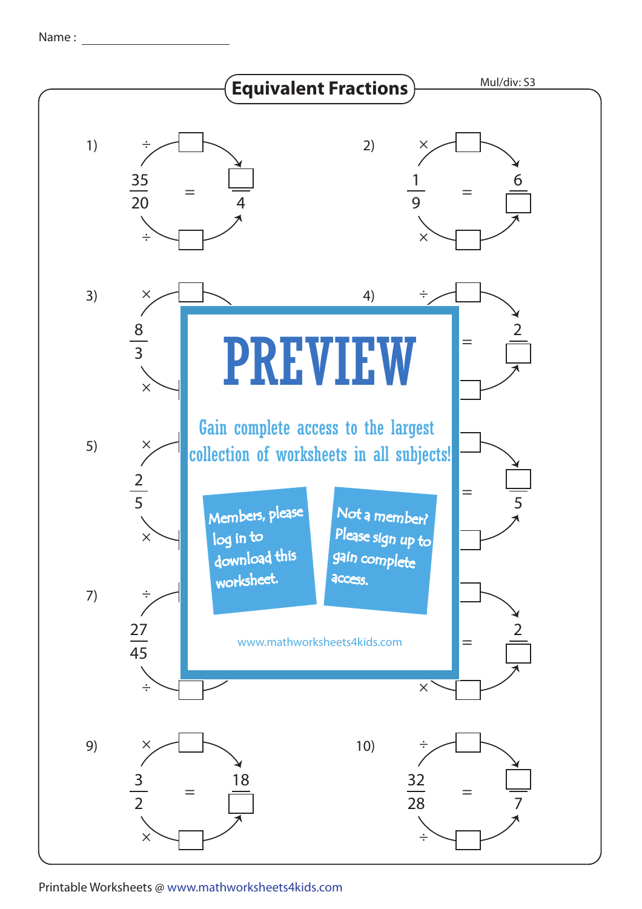